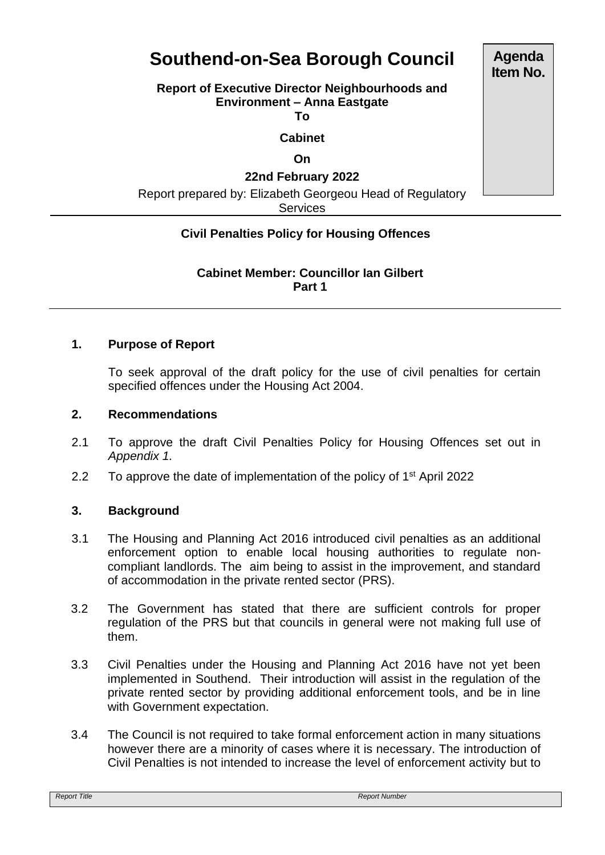# **Southend-on-Sea Borough Council**

## **Report of Executive Director Neighbourhoods and Environment – Anna Eastgate**

**To**

**Cabinet**

#### **On**

## **22nd February 2022**

Report prepared by: Elizabeth Georgeou Head of Regulatory

**Services** 

## **Civil Penalties Policy for Housing Offences**

## **Cabinet Member: Councillor Ian Gilbert Part 1**

#### **1. Purpose of Report**

To seek approval of the draft policy for the use of civil penalties for certain specified offences under the Housing Act 2004.

#### **2. Recommendations**

- 2.1 To approve the draft Civil Penalties Policy for Housing Offences set out in *Appendix 1.*
- 2.2 To approve the date of implementation of the policy of  $1<sup>st</sup>$  April 2022

## **3. Background**

- 3.1 The Housing and Planning Act 2016 introduced civil penalties as an additional enforcement option to enable local housing authorities to regulate noncompliant landlords. The aim being to assist in the improvement, and standard of accommodation in the private rented sector (PRS).
- 3.2 The Government has stated that there are sufficient controls for proper regulation of the PRS but that councils in general were not making full use of them.
- 3.3 Civil Penalties under the Housing and Planning Act 2016 have not yet been implemented in Southend. Their introduction will assist in the regulation of the private rented sector by providing additional enforcement tools, and be in line with Government expectation.
- 3.4 The Council is not required to take formal enforcement action in many situations however there are a minority of cases where it is necessary. The introduction of Civil Penalties is not intended to increase the level of enforcement activity but to

**Agenda Item No.**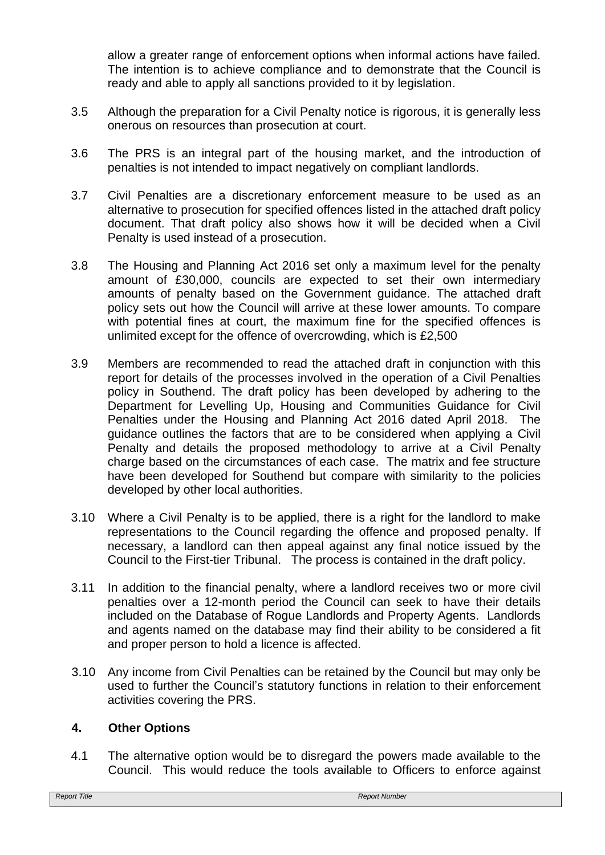allow a greater range of enforcement options when informal actions have failed. The intention is to achieve compliance and to demonstrate that the Council is ready and able to apply all sanctions provided to it by legislation.

- 3.5 Although the preparation for a Civil Penalty notice is rigorous, it is generally less onerous on resources than prosecution at court.
- 3.6 The PRS is an integral part of the housing market, and the introduction of penalties is not intended to impact negatively on compliant landlords.
- 3.7 Civil Penalties are a discretionary enforcement measure to be used as an alternative to prosecution for specified offences listed in the attached draft policy document. That draft policy also shows how it will be decided when a Civil Penalty is used instead of a prosecution.
- 3.8 The Housing and Planning Act 2016 set only a maximum level for the penalty amount of £30,000, councils are expected to set their own intermediary amounts of penalty based on the Government guidance. The attached draft policy sets out how the Council will arrive at these lower amounts. To compare with potential fines at court, the maximum fine for the specified offences is unlimited except for the offence of overcrowding, which is £2,500
- 3.9 Members are recommended to read the attached draft in conjunction with this report for details of the processes involved in the operation of a Civil Penalties policy in Southend. The draft policy has been developed by adhering to the Department for Levelling Up, Housing and Communities Guidance for Civil Penalties under the Housing and Planning Act 2016 dated April 2018. The guidance outlines the factors that are to be considered when applying a Civil Penalty and details the proposed methodology to arrive at a Civil Penalty charge based on the circumstances of each case. The matrix and fee structure have been developed for Southend but compare with similarity to the policies developed by other local authorities.
- 3.10 Where a Civil Penalty is to be applied, there is a right for the landlord to make representations to the Council regarding the offence and proposed penalty. If necessary, a landlord can then appeal against any final notice issued by the Council to the First-tier Tribunal. The process is contained in the draft policy.
- 3.11 In addition to the financial penalty, where a landlord receives two or more civil penalties over a 12-month period the Council can seek to have their details included on the Database of Rogue Landlords and Property Agents. Landlords and agents named on the database may find their ability to be considered a fit and proper person to hold a licence is affected.
- 3.10 Any income from Civil Penalties can be retained by the Council but may only be used to further the Council's statutory functions in relation to their enforcement activities covering the PRS.

## **4. Other Options**

4.1 The alternative option would be to disregard the powers made available to the Council. This would reduce the tools available to Officers to enforce against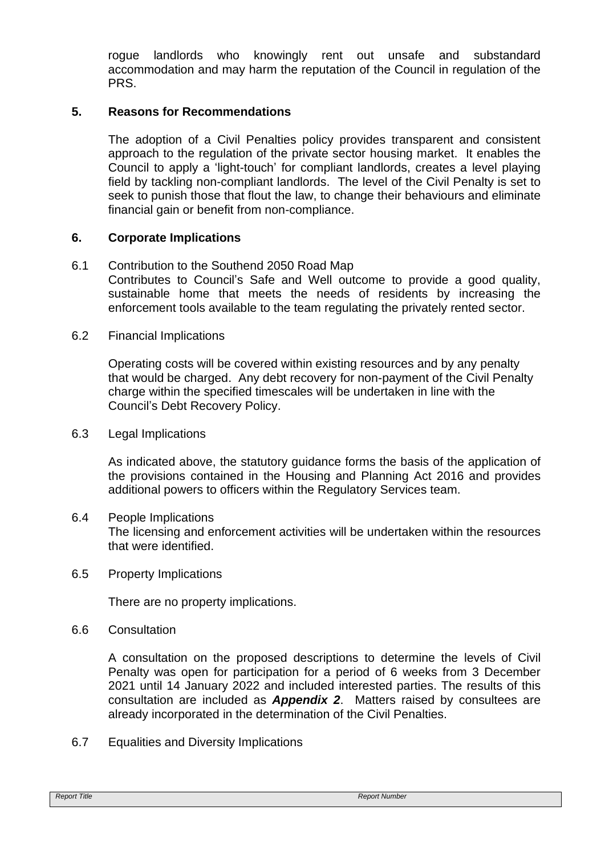rogue landlords who knowingly rent out unsafe and substandard accommodation and may harm the reputation of the Council in regulation of the PRS.

## **5. Reasons for Recommendations**

The adoption of a Civil Penalties policy provides transparent and consistent approach to the regulation of the private sector housing market. It enables the Council to apply a 'light-touch' for compliant landlords, creates a level playing field by tackling non-compliant landlords. The level of the Civil Penalty is set to seek to punish those that flout the law, to change their behaviours and eliminate financial gain or benefit from non-compliance.

## **6. Corporate Implications**

- 6.1 Contribution to the Southend 2050 Road Map Contributes to Council's Safe and Well outcome to provide a good quality, sustainable home that meets the needs of residents by increasing the enforcement tools available to the team regulating the privately rented sector.
- 6.2 Financial Implications

Operating costs will be covered within existing resources and by any penalty that would be charged. Any debt recovery for non-payment of the Civil Penalty charge within the specified timescales will be undertaken in line with the Council's Debt Recovery Policy.

6.3 Legal Implications

As indicated above, the statutory guidance forms the basis of the application of the provisions contained in the Housing and Planning Act 2016 and provides additional powers to officers within the Regulatory Services team.

- 6.4 People Implications The licensing and enforcement activities will be undertaken within the resources that were identified.
- 6.5 Property Implications

There are no property implications.

6.6 Consultation

A consultation on the proposed descriptions to determine the levels of Civil Penalty was open for participation for a period of 6 weeks from 3 December 2021 until 14 January 2022 and included interested parties. The results of this consultation are included as *Appendix 2*. Matters raised by consultees are already incorporated in the determination of the Civil Penalties.

6.7 Equalities and Diversity Implications